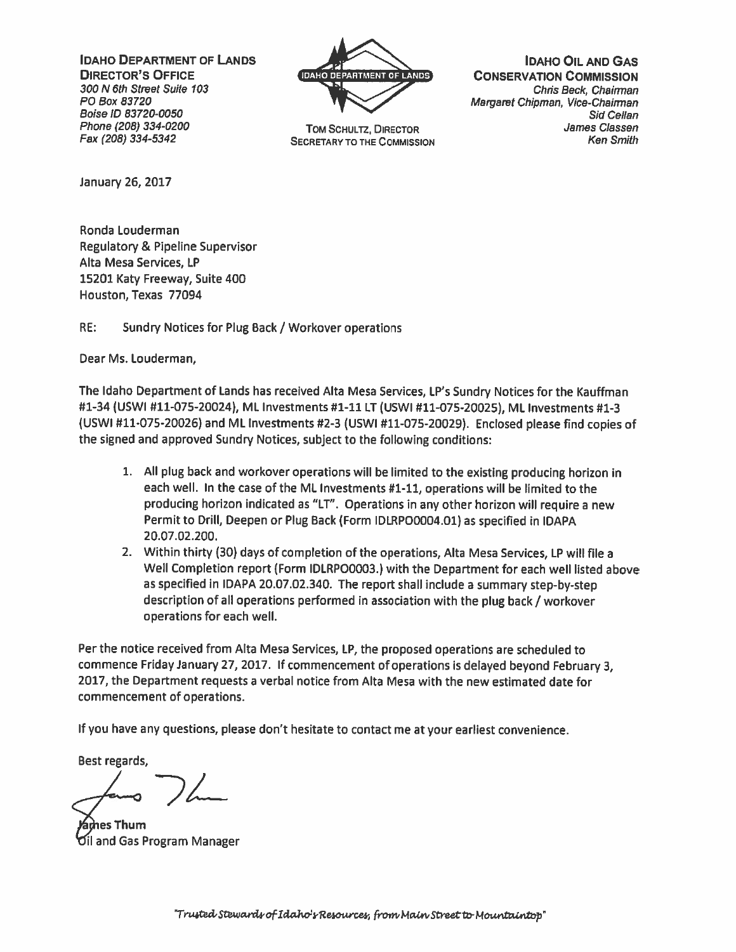IDAHO DEPARTMENT OF LANDS **4 IDAHO OIL AND GAS** 



**SECRETARY TO THE COMMISSION** 

**DIRECTOR'S OFFICE include the CONSERVATION COMMISSION** 300 N 6th Street Suite 103 Chris Beck, Chairman PO Box 83720 Margaret Chipman, Vice-Chairman Boise ID 83720-0050 Sid Cellan Phone (208) 334-0200 TOM SCHULTZ, DIRECTOR (208) 334-0200 James Classen<br>Fax (208) 334-5342 SECRETARY TO THE COMMISSION (208) 734-5342

January 26, 2017

Ronda Louderman Regulatory & Pipeline Supervisor Alta Mesa Services, LP 15201 Katy Freeway, Suite 400 Houston, Texas 77094

RE: Sundry Notices for Plug Back / Workover operations

Dear Ms. Louderman,

The Idaho Department of Lands has received Alta Mesa Services, LP'5 Sundry Notices for the Kauffman #1-34 (USWI #11-075-20024), ML Investments #1-11 LT (USWI #11-075-20025), ML Investments #1-3 (USWI #11-075-20026) and ML Investments #2-3 (USWI #11-075-20029). Enclosed <sup>p</sup>lease find copies of the signed and approve<sup>d</sup> Sundry Notices, subject to the following conditions:

- 1. All <sup>p</sup>lug back and workover operations will be limited to the existing producing horizon in each well. In the case of the ML Investments #1-11, operations will be limited to the producing horizon indicated as "LT". Operations in any other horizon will require <sup>a</sup> new Permit to Drill, Deepen or Plug Back (Form IDLRP00004.01) as specified in IDAPA 20.07.02.200.
- 2. Within thirty (30) days of completion of the operations, Alta Mesa Services, LP will file <sup>a</sup> Well Completion repor<sup>t</sup> (Form IDLRP00003.) with the Department for each well listed above as specified in IDAPA 20.07.02.340. The repor<sup>t</sup> shall include <sup>a</sup> summary step-by-step description of all operations performed in association with the plug back / workover operations for each well.

Per the notice received from Alta Mesa Services, LP, the propose<sup>d</sup> operations are scheduled to commence Friday January 27, 2017. If commencement of operations is delayed beyond February 3, 2017, the Department requests <sup>a</sup> verbal notice from Alta Mesa with the new estimated date for commencement of operations.

If you have any questions, please don't hesitate to contact me at your earliest convenience.

Best regards,

es Thum and Gas Program Manager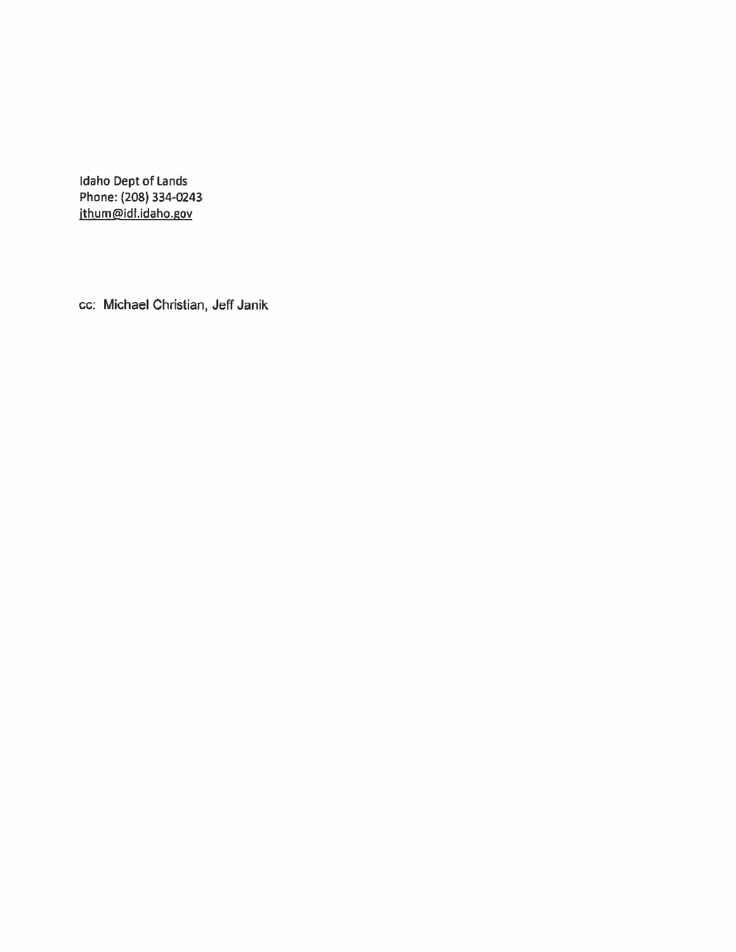Idaho Dept of Lands Phone: (208) 334-0243 jthum@idl.idaho.gov

cc: Michael Christian, Jeff Janik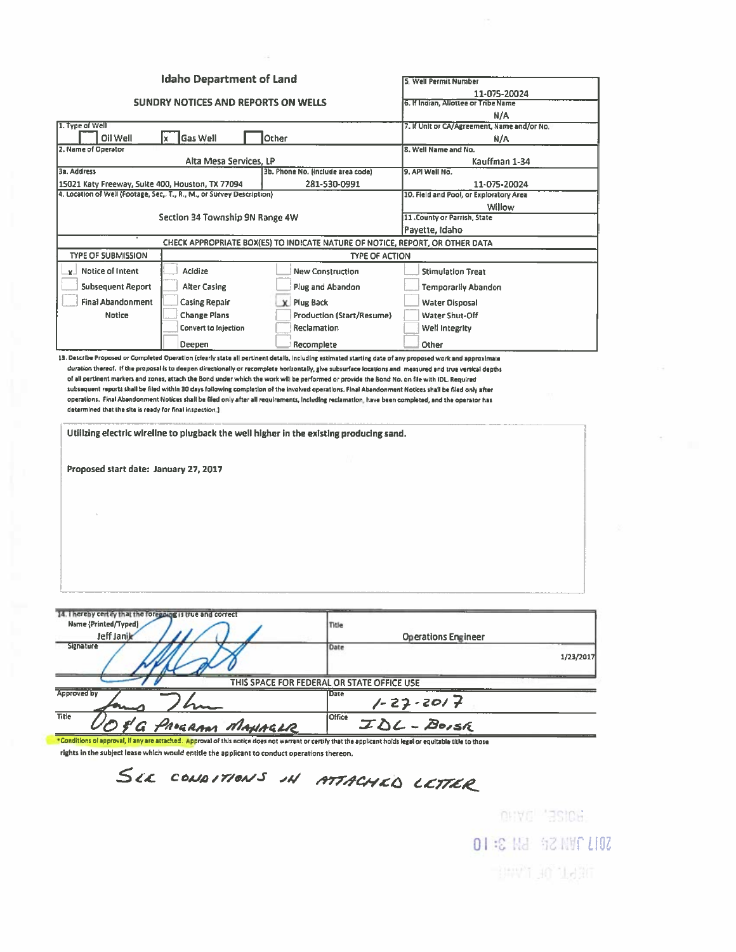|                                                                                                                                                              | <b>Idaho Department of Land</b>                                                              |                                            |                       | 5. Well Permit Number                              |           |  |
|--------------------------------------------------------------------------------------------------------------------------------------------------------------|----------------------------------------------------------------------------------------------|--------------------------------------------|-----------------------|----------------------------------------------------|-----------|--|
|                                                                                                                                                              |                                                                                              |                                            |                       | 11-075-20024                                       |           |  |
| <b>SUNDRY NOTICES AND REPORTS ON WELLS</b>                                                                                                                   |                                                                                              |                                            |                       | 6. If Indian, Allottee or Tribe Name               |           |  |
| 1. Type of Well                                                                                                                                              |                                                                                              |                                            |                       | N/A<br>7. If Unit or CA/Agreement, Name and/or No. |           |  |
| Oil Well                                                                                                                                                     | <b>Gas Well</b><br>lx.                                                                       | Other                                      |                       | N/A                                                |           |  |
| 2. Name of Operator                                                                                                                                          |                                                                                              |                                            |                       | 8. Well Name and No.                               |           |  |
| 3a. Address                                                                                                                                                  | Alta Mesa Services, LP                                                                       | 3b. Phone No. (include area code)          |                       | Kauffman 1-34<br>9, API Well No.                   |           |  |
| 15021 Katy Freeway, Sulte 400, Houston, TX 77094                                                                                                             |                                                                                              | 281-530-0991                               |                       | 11-075-20024                                       |           |  |
| 4. Location of Well (Footage, Sec,. T., R., M., or Survey Description)                                                                                       |                                                                                              |                                            |                       | 10. Field and Pool, or Exploratory Area            |           |  |
|                                                                                                                                                              |                                                                                              |                                            |                       | Willow                                             |           |  |
|                                                                                                                                                              | Section 34 Township 9N Range 4W                                                              |                                            |                       | 11 .County or Parrish, State<br>Payette, Idaho     |           |  |
|                                                                                                                                                              | CHECK APPROPRIATE BOX(ES) TO INDICATE NATURE OF NOTICE, REPORT, OR OTHER DATA                |                                            |                       |                                                    |           |  |
| <b>TYPE OF SUBMISSION</b>                                                                                                                                    |                                                                                              |                                            | <b>TYPE OF ACTION</b> |                                                    |           |  |
| $\mathbf{r}$ Notice of Intent                                                                                                                                | Acidize                                                                                      | <b>New Construction</b>                    |                       | <b>Stimulation Treat</b>                           |           |  |
| <b>Subsequent Report</b>                                                                                                                                     | <b>Alter Casing</b>                                                                          | Plug and Abandon                           |                       | <b>Temporarily Abandon</b>                         |           |  |
|                                                                                                                                                              |                                                                                              |                                            |                       |                                                    |           |  |
| <b>Final Abandonment</b><br><b>Notice</b>                                                                                                                    | <b>Casing Repair</b>                                                                         | <b>X</b> Plug Back                         |                       | <b>Water Disposal</b>                              |           |  |
|                                                                                                                                                              | <b>Change Plans</b><br><b>Convert to Injection</b>                                           | Production (Start/Resume)<br>Reclamation   |                       | Water Shut-Off<br>Well Integrity                   |           |  |
|                                                                                                                                                              |                                                                                              |                                            |                       |                                                    |           |  |
| 13. Describe Proposed or Completed Operation (clearly state all pertinent details, including estimated starting date of any proposed work and approximate    | Deepen                                                                                       | Recomplete                                 |                       | Other                                              |           |  |
| Proposed start date: January 27, 2017                                                                                                                        |                                                                                              |                                            |                       |                                                    |           |  |
| 14. I hereby certify that the foregoing is true and correct<br>Name (Printed/Typed)<br>Jeff Janik                                                            |                                                                                              | Title                                      |                       | <b>Operations Engineer</b>                         |           |  |
| Signature                                                                                                                                                    |                                                                                              | Date                                       |                       |                                                    | 1/23/2017 |  |
|                                                                                                                                                              |                                                                                              | THIS SPACE FOR FEDERAL OR STATE OFFICE USE |                       |                                                    |           |  |
| Approved by                                                                                                                                                  |                                                                                              | <b>Date</b>                                |                       | 1-27-2017<br>IDL - Boish                           |           |  |
| Title                                                                                                                                                        | G PROGRAM MANAGLR                                                                            | <b>Office</b>                              |                       |                                                    |           |  |
| *Conditions of approval, if any are attached. Approval of this notice does not warrant or certify that the applicant holds legal or equitable title to those | rights in the subject lease which would entitle the applicant to conduct operations thereon. |                                            |                       |                                                    |           |  |

SEE CONDITIONS IN ATTACHED LETTER

OHYC 'BSICH. OI :C Hd \$2 NMC LIOZ **BAVIT 30 Nation**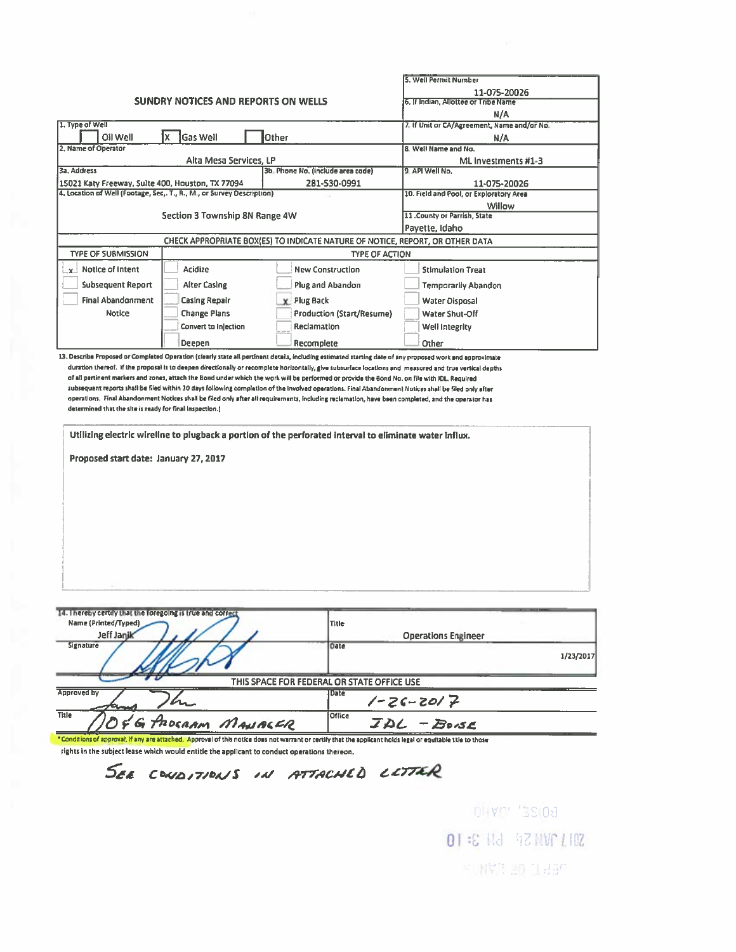|                                                                                                                                                           |                                |                                                                                                                                                                                                                                                                                                                                                                                                                                                                                                                                                                         | 5. Well Permit Number                                                                                                                                    |                                                      |  |  |
|-----------------------------------------------------------------------------------------------------------------------------------------------------------|--------------------------------|-------------------------------------------------------------------------------------------------------------------------------------------------------------------------------------------------------------------------------------------------------------------------------------------------------------------------------------------------------------------------------------------------------------------------------------------------------------------------------------------------------------------------------------------------------------------------|----------------------------------------------------------------------------------------------------------------------------------------------------------|------------------------------------------------------|--|--|
|                                                                                                                                                           |                                |                                                                                                                                                                                                                                                                                                                                                                                                                                                                                                                                                                         |                                                                                                                                                          |                                                      |  |  |
| <b>SUNDRY NOTICES AND REPORTS ON WELLS</b>                                                                                                                |                                |                                                                                                                                                                                                                                                                                                                                                                                                                                                                                                                                                                         |                                                                                                                                                          | 11-075-20026<br>6. If Indian, Allottee or Tribe Name |  |  |
|                                                                                                                                                           |                                |                                                                                                                                                                                                                                                                                                                                                                                                                                                                                                                                                                         | N/A                                                                                                                                                      |                                                      |  |  |
| 1. Type of Well                                                                                                                                           |                                |                                                                                                                                                                                                                                                                                                                                                                                                                                                                                                                                                                         | 7. If Unit or CA/Agreement, Name and/or No.                                                                                                              |                                                      |  |  |
| Oil Well                                                                                                                                                  | 1x<br>Gas Well                 | Other                                                                                                                                                                                                                                                                                                                                                                                                                                                                                                                                                                   | N/A                                                                                                                                                      |                                                      |  |  |
| 2. Name of Operator                                                                                                                                       |                                |                                                                                                                                                                                                                                                                                                                                                                                                                                                                                                                                                                         | 8. Well Name and No.                                                                                                                                     |                                                      |  |  |
|                                                                                                                                                           | Alta Mesa Services, LP         |                                                                                                                                                                                                                                                                                                                                                                                                                                                                                                                                                                         | ML Investments #1-3                                                                                                                                      |                                                      |  |  |
| 3a. Address                                                                                                                                               |                                | 3b, Phone No. (include area code)                                                                                                                                                                                                                                                                                                                                                                                                                                                                                                                                       | 9. API Well No.                                                                                                                                          |                                                      |  |  |
| 15021 Katy Freeway, Sulte 400, Houston, TX 77094                                                                                                          |                                | 281-530-0991                                                                                                                                                                                                                                                                                                                                                                                                                                                                                                                                                            | 11-075-20026                                                                                                                                             |                                                      |  |  |
| 4. Location of Well (Footage, Sec., T., R., M., or Survey Description)                                                                                    |                                |                                                                                                                                                                                                                                                                                                                                                                                                                                                                                                                                                                         | 10. Field and Pool, or Exploratory Area                                                                                                                  |                                                      |  |  |
|                                                                                                                                                           |                                |                                                                                                                                                                                                                                                                                                                                                                                                                                                                                                                                                                         | Willow                                                                                                                                                   |                                                      |  |  |
|                                                                                                                                                           | Section 3 Township 8N Range 4W |                                                                                                                                                                                                                                                                                                                                                                                                                                                                                                                                                                         | 11 .County or Parrish, State                                                                                                                             |                                                      |  |  |
|                                                                                                                                                           |                                |                                                                                                                                                                                                                                                                                                                                                                                                                                                                                                                                                                         | Payette, Idaho                                                                                                                                           |                                                      |  |  |
|                                                                                                                                                           |                                | CHECK APPROPRIATE BOX(ES) TO INDICATE NATURE OF NOTICE, REPORT, OR OTHER DATA                                                                                                                                                                                                                                                                                                                                                                                                                                                                                           |                                                                                                                                                          |                                                      |  |  |
| <b>TYPE OF SUBMISSION</b>                                                                                                                                 |                                |                                                                                                                                                                                                                                                                                                                                                                                                                                                                                                                                                                         | <b>TYPE OF ACTION</b>                                                                                                                                    |                                                      |  |  |
| $x$ Notice of Intent                                                                                                                                      | <b>Acidize</b>                 | <b>New Construction</b>                                                                                                                                                                                                                                                                                                                                                                                                                                                                                                                                                 | <b>Stimulation Treat</b>                                                                                                                                 |                                                      |  |  |
| <b>Subsequent Report</b>                                                                                                                                  | <b>Alter Casing</b>            | Plug and Abandon                                                                                                                                                                                                                                                                                                                                                                                                                                                                                                                                                        | <b>Temporarily Abandon</b>                                                                                                                               |                                                      |  |  |
| <b>Final Abandonment</b>                                                                                                                                  | <b>Casing Repair</b>           | <b>X</b> Plug Back                                                                                                                                                                                                                                                                                                                                                                                                                                                                                                                                                      | <b>Water Disposal</b>                                                                                                                                    |                                                      |  |  |
| <b>Notice</b>                                                                                                                                             | <b>Change Plans</b>            | <b>Production (Start/Resume)</b>                                                                                                                                                                                                                                                                                                                                                                                                                                                                                                                                        | Water Shut-Off                                                                                                                                           |                                                      |  |  |
|                                                                                                                                                           |                                | Reclamation                                                                                                                                                                                                                                                                                                                                                                                                                                                                                                                                                             |                                                                                                                                                          |                                                      |  |  |
|                                                                                                                                                           | Convert to Injection           |                                                                                                                                                                                                                                                                                                                                                                                                                                                                                                                                                                         | Well Integrity                                                                                                                                           |                                                      |  |  |
|                                                                                                                                                           | Deepen                         | Recomplete                                                                                                                                                                                                                                                                                                                                                                                                                                                                                                                                                              | Other                                                                                                                                                    |                                                      |  |  |
| determined that the site is ready for final inspection.)<br>Proposed start date: January 27, 2017                                                         |                                | of all pertinent markers and zones, attach the Bond under which the work will be performed or provide the Bond No. on file with IDL, Required<br>subsequent reports shall be filed within 30 days following completion of the involved operations. Final Abandonment Notices shall be filed only after<br>operations. Final Abandonment Notices shall be filed only after all requirements, including reclamation, have been completed, and the operator has<br>Utilizing electric wireline to plugback a portion of the perforated interval to eliminate water influx. | duration thereof. If the proposal is to deepen directionally or recomplete horizontally, give subsurface locations and measured and true vertical depths |                                                      |  |  |
| 13. Describe Proposed or Completed Operation (clearly state all pertinent details, including estimated starting date of any proposed work and approximate |                                |                                                                                                                                                                                                                                                                                                                                                                                                                                                                                                                                                                         |                                                                                                                                                          |                                                      |  |  |
| Te' I velent cerrity first rife loteBoing is time sud cott<br>Name (Printed/Typed)<br>Jeff Janik<br>Signature                                             |                                | Title<br>Date                                                                                                                                                                                                                                                                                                                                                                                                                                                                                                                                                           | <b>Operations Engineer</b>                                                                                                                               |                                                      |  |  |
| <b>Approved by</b>                                                                                                                                        |                                | THIS SPACE FOR FEDERAL OR STATE OFFICE USE                                                                                                                                                                                                                                                                                                                                                                                                                                                                                                                              |                                                                                                                                                          |                                                      |  |  |
|                                                                                                                                                           |                                | <b>Date</b>                                                                                                                                                                                                                                                                                                                                                                                                                                                                                                                                                             | $1 - 26 - 2017$                                                                                                                                          | 1/23/2017                                            |  |  |

SEE CONDITIONS IN ATTACHED LITTER

DHAGI , 122109 **DI : E Hd 47 NWC LIDZ** SUNYD 30 1850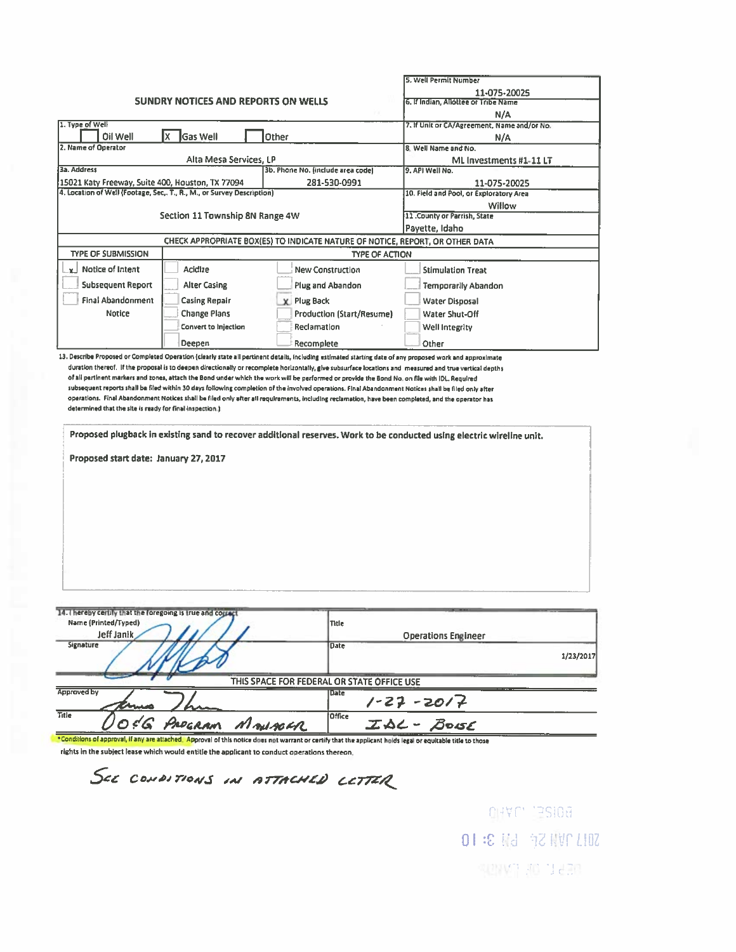|                                                                                                                                                              |                                                                               |                    | 5. Well Permit Number                                              |                                                      |                                                                                                                       |           |
|--------------------------------------------------------------------------------------------------------------------------------------------------------------|-------------------------------------------------------------------------------|--------------------|--------------------------------------------------------------------|------------------------------------------------------|-----------------------------------------------------------------------------------------------------------------------|-----------|
| SUNDRY NOTICES AND REPORTS ON WELLS                                                                                                                          |                                                                               |                    |                                                                    | 11-075-20025<br>6. If Indian, Allottee or Tribe Name |                                                                                                                       |           |
|                                                                                                                                                              |                                                                               |                    |                                                                    | N/A                                                  |                                                                                                                       |           |
| 1. Type of Well                                                                                                                                              |                                                                               |                    |                                                                    |                                                      | 7. If Unit or CA/Agreement, Name and/or No.                                                                           |           |
| Oil Well                                                                                                                                                     | lx<br><b>Gas Well</b>                                                         | Other              |                                                                    |                                                      | N/A                                                                                                                   |           |
| 2. Name of Operator                                                                                                                                          | Alta Mesa Services, LP                                                        |                    |                                                                    |                                                      | 8. Well Name and No.                                                                                                  |           |
| 3a. Address                                                                                                                                                  |                                                                               |                    | 3b. Phone No. (include area code)                                  |                                                      | ML Investments #1-11 LT<br>9. API Well No.                                                                            |           |
| 15021 Katy Freeway, Suite 400, Houston, TX 77094                                                                                                             |                                                                               |                    | 281-530-0991                                                       |                                                      | 11-075-20025                                                                                                          |           |
|                                                                                                                                                              | 4. Location of Well (Footage, Sec,. T., R., M., or Survey Description)        |                    |                                                                    |                                                      | 10. Field and Pool, or Exploratory Area                                                                               |           |
|                                                                                                                                                              |                                                                               |                    |                                                                    |                                                      | Willow                                                                                                                |           |
|                                                                                                                                                              | Section 11 Township 8N Range 4W                                               |                    |                                                                    |                                                      | 11. County or Parrish, State<br>Payette, Idaho                                                                        |           |
|                                                                                                                                                              | CHECK APPROPRIATE BOX(ES) TO INDICATE NATURE OF NOTICE, REPORT, OR OTHER DATA |                    |                                                                    |                                                      |                                                                                                                       |           |
| <b>TYPE OF SUBMISSION</b>                                                                                                                                    |                                                                               |                    | <b>TYPE OF ACTION</b>                                              |                                                      |                                                                                                                       |           |
| v Notice of Intent                                                                                                                                           | Acidize                                                                       |                    | <b>New Construction</b>                                            |                                                      | <b>Stimulation Treat</b>                                                                                              |           |
|                                                                                                                                                              |                                                                               |                    |                                                                    |                                                      |                                                                                                                       |           |
| <b>Subsequent Report</b>                                                                                                                                     | <b>Alter Casing</b>                                                           |                    | Plug and Abandon                                                   |                                                      | <b>Temporarily Abandon</b>                                                                                            |           |
| Final Abandonment                                                                                                                                            | <b>Casing Repair</b>                                                          | <b>X</b> Plug Back |                                                                    |                                                      | Water Disposal                                                                                                        |           |
| Notice                                                                                                                                                       | <b>Change Plans</b>                                                           |                    | <b>Production (Start/Resume)</b>                                   |                                                      | Water Shut-Off                                                                                                        |           |
|                                                                                                                                                              | <b>Convert to Injection</b>                                                   |                    | Reclamation                                                        |                                                      | Well Integrity                                                                                                        |           |
|                                                                                                                                                              | Deepen                                                                        |                    | Recomplete                                                         |                                                      | Other                                                                                                                 |           |
| determined that the site is ready for final inspection.)<br>Proposed start date: January 27, 2017                                                            |                                                                               |                    |                                                                    |                                                      | Proposed plugback in existing sand to recover additional reserves. Work to be conducted using electric wireline unit. |           |
| 14. I hereby certify that the foregoing is true and copact<br>Name (Printed/Typed)<br>Jeff Janik<br>Signature                                                |                                                                               |                    | Title<br><b>Date</b><br>THIS SPACE FOR FEDERAL OR STATE OFFICE USE |                                                      | <b>Operations Engineer</b>                                                                                            | 1/23/2017 |
| <b>Approved by</b>                                                                                                                                           |                                                                               |                    | <b>Date</b>                                                        |                                                      |                                                                                                                       |           |
| Title                                                                                                                                                        |                                                                               |                    | <b>Office</b>                                                      |                                                      | $1 - 27 - 2017$                                                                                                       |           |
| *Conditions of approval, if any are attached. Approval of this notice does not warrant or certify that the applicant holds legal or equitable title to those | PROGRAM                                                                       | Monsoon            |                                                                    |                                                      | $ZAC - Bosc$                                                                                                          |           |
| richte in the cubiest lange which would antitl                                                                                                               |                                                                               |                    |                                                                    |                                                      |                                                                                                                       |           |

rights in the subject lease which would entitle the applicant to conduct operations thereon.

SEE CONDITIONS IN ATTACHED LETTER

OHAL, JS109 SOLL TVN SF 6N 3: 10 NEST 01 1990